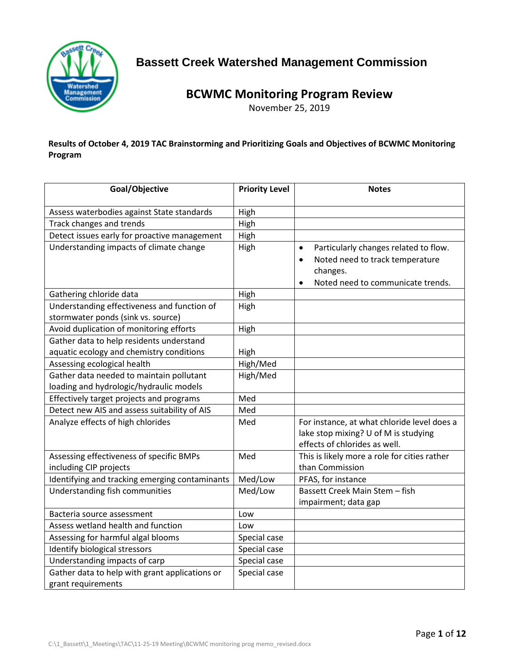

# **Bassett Creek Watershed Management Commission**

# **BCWMC Monitoring Program Review**

November 25, 2019

**Results of October 4, 2019 TAC Brainstorming and Prioritizing Goals and Objectives of BCWMC Monitoring Program**

| Goal/Objective                                                       | <b>Priority Level</b> | <b>Notes</b>                                                                                                                                                     |
|----------------------------------------------------------------------|-----------------------|------------------------------------------------------------------------------------------------------------------------------------------------------------------|
| Assess waterbodies against State standards                           | High                  |                                                                                                                                                                  |
| Track changes and trends                                             | High                  |                                                                                                                                                                  |
| Detect issues early for proactive management                         | High                  |                                                                                                                                                                  |
| Understanding impacts of climate change                              | High                  | Particularly changes related to flow.<br>$\bullet$<br>Noted need to track temperature<br>$\bullet$<br>changes.<br>Noted need to communicate trends.<br>$\bullet$ |
| Gathering chloride data                                              | High                  |                                                                                                                                                                  |
| Understanding effectiveness and function of                          | High                  |                                                                                                                                                                  |
| stormwater ponds (sink vs. source)                                   |                       |                                                                                                                                                                  |
| Avoid duplication of monitoring efforts                              | High                  |                                                                                                                                                                  |
| Gather data to help residents understand                             |                       |                                                                                                                                                                  |
| aquatic ecology and chemistry conditions                             | High                  |                                                                                                                                                                  |
| Assessing ecological health                                          | High/Med              |                                                                                                                                                                  |
| Gather data needed to maintain pollutant                             | High/Med              |                                                                                                                                                                  |
| loading and hydrologic/hydraulic models                              |                       |                                                                                                                                                                  |
| Effectively target projects and programs                             | Med                   |                                                                                                                                                                  |
| Detect new AIS and assess suitability of AIS                         | Med                   |                                                                                                                                                                  |
| Analyze effects of high chlorides                                    | Med                   | For instance, at what chloride level does a<br>lake stop mixing? U of M is studying<br>effects of chlorides as well.                                             |
| Assessing effectiveness of specific BMPs                             | Med                   | This is likely more a role for cities rather                                                                                                                     |
| including CIP projects                                               |                       | than Commission                                                                                                                                                  |
| Identifying and tracking emerging contaminants                       | Med/Low               | PFAS, for instance                                                                                                                                               |
| Understanding fish communities                                       | Med/Low               | Bassett Creek Main Stem - fish                                                                                                                                   |
|                                                                      |                       | impairment; data gap                                                                                                                                             |
| Bacteria source assessment                                           | Low                   |                                                                                                                                                                  |
| Assess wetland health and function                                   | Low                   |                                                                                                                                                                  |
| Assessing for harmful algal blooms                                   | Special case          |                                                                                                                                                                  |
| Identify biological stressors                                        | Special case          |                                                                                                                                                                  |
| Understanding impacts of carp                                        | Special case          |                                                                                                                                                                  |
| Gather data to help with grant applications or<br>grant requirements | Special case          |                                                                                                                                                                  |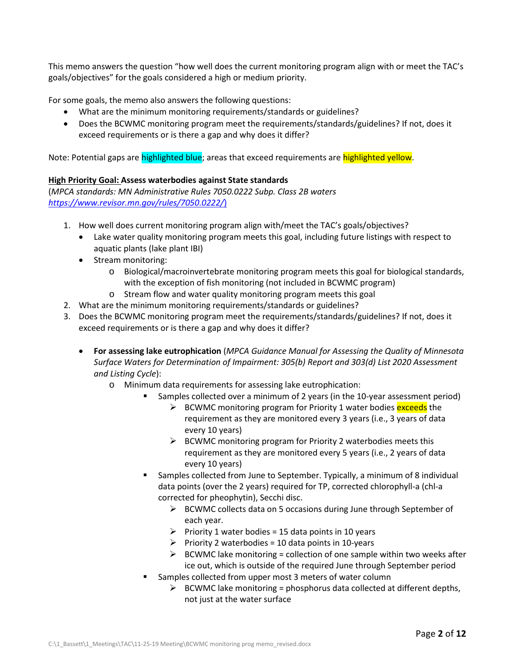This memo answers the question "how well does the current monitoring program align with or meet the TAC's goals/objectives" for the goals considered a high or medium priority.

For some goals, the memo also answers the following questions:

- What are the minimum monitoring requirements/standards or guidelines?
- Does the BCWMC monitoring program meet the requirements/standards/guidelines? If not, does it exceed requirements or is there a gap and why does it differ?

Note: Potential gaps are highlighted blue; areas that exceed requirements are highlighted yellow.

# **High Priority Goal: Assess waterbodies against State standards**

(*MPCA standards: MN Administrative Rules 7050.0222 Subp. Class 2B waters <https://www.revisor.mn.gov/rules/7050.0222/>*)

- 1. How well does current monitoring program align with/meet the TAC's goals/objectives?
	- Lake water quality monitoring program meets this goal, including future listings with respect to aquatic plants (lake plant IBI)
	- Stream monitoring:
		- o Biological/macroinvertebrate monitoring program meets this goal for biological standards, with the exception of fish monitoring (not included in BCWMC program)
		- o Stream flow and water quality monitoring program meets this goal
- 2. What are the minimum monitoring requirements/standards or guidelines?
- 3. Does the BCWMC monitoring program meet the requirements/standards/guidelines? If not, does it exceed requirements or is there a gap and why does it differ?
	- **For assessing lake eutrophication** (*MPCA Guidance Manual for Assessing the Quality of Minnesota Surface Waters for Determination of Impairment: 305(b) Report and 303(d) List 2020 Assessment and Listing Cycle*):
		- o Minimum data requirements for assessing lake eutrophication:
			- Samples collected over a minimum of 2 years (in the 10-year assessment period)
				- ECWMC monitoring program for Priority 1 water bodies exceeds the requirement as they are monitored every 3 years (i.e., 3 years of data every 10 years)
				- $\triangleright$  BCWMC monitoring program for Priority 2 waterbodies meets this requirement as they are monitored every 5 years (i.e., 2 years of data every 10 years)
			- Samples collected from June to September. Typically, a minimum of 8 individual data points (over the 2 years) required for TP, corrected chlorophyll-a (chl-a corrected for pheophytin), Secchi disc.
				- $\triangleright$  BCWMC collects data on 5 occasions during June through September of each year.
				- Priority 1 water bodies = 15 data points in 10 years
				- $\triangleright$  Priority 2 waterbodies = 10 data points in 10-years
				- $\triangleright$  BCWMC lake monitoring = collection of one sample within two weeks after ice out, which is outside of the required June through September period
			- Samples collected from upper most 3 meters of water column
				- $\triangleright$  BCWMC lake monitoring = phosphorus data collected at different depths, not just at the water surface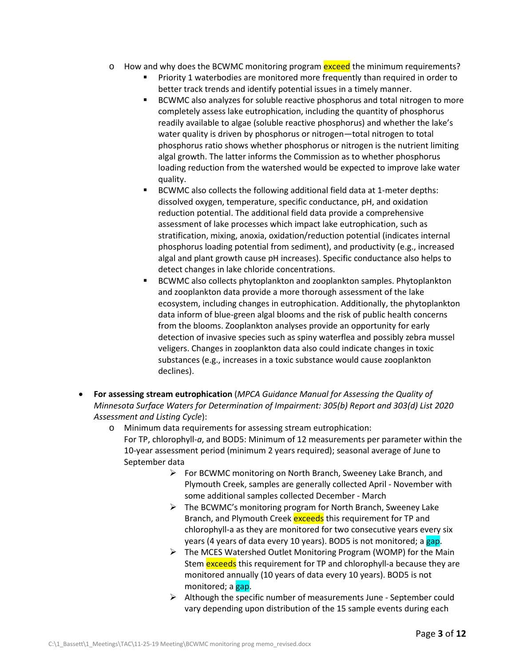- $\circ$  How and why does the BCWMC monitoring program exceed the minimum requirements?
	- Priority 1 waterbodies are monitored more frequently than required in order to better track trends and identify potential issues in a timely manner.
	- BCWMC also analyzes for soluble reactive phosphorus and total nitrogen to more completely assess lake eutrophication, including the quantity of phosphorus readily available to algae (soluble reactive phosphorus) and whether the lake's water quality is driven by phosphorus or nitrogen—total nitrogen to total phosphorus ratio shows whether phosphorus or nitrogen is the nutrient limiting algal growth. The latter informs the Commission as to whether phosphorus loading reduction from the watershed would be expected to improve lake water quality.
	- BCWMC also collects the following additional field data at 1-meter depths: dissolved oxygen, temperature, specific conductance, pH, and oxidation reduction potential. The additional field data provide a comprehensive assessment of lake processes which impact lake eutrophication, such as stratification, mixing, anoxia, oxidation/reduction potential (indicates internal phosphorus loading potential from sediment), and productivity (e.g., increased algal and plant growth cause pH increases). Specific conductance also helps to detect changes in lake chloride concentrations.
	- **BCWMC also collects phytoplankton and zooplankton samples. Phytoplankton** and zooplankton data provide a more thorough assessment of the lake ecosystem, including changes in eutrophication. Additionally, the phytoplankton data inform of blue-green algal blooms and the risk of public health concerns from the blooms. Zooplankton analyses provide an opportunity for early detection of invasive species such as spiny waterflea and possibly zebra mussel veligers. Changes in zooplankton data also could indicate changes in toxic substances (e.g., increases in a toxic substance would cause zooplankton declines).
- **For assessing stream eutrophication** (*MPCA Guidance Manual for Assessing the Quality of Minnesota Surface Waters for Determination of Impairment: 305(b) Report and 303(d) List 2020 Assessment and Listing Cycle*):
	- o Minimum data requirements for assessing stream eutrophication: For TP, chlorophyll-*a*, and BOD5: Minimum of 12 measurements per parameter within the 10-year assessment period (minimum 2 years required); seasonal average of June to September data
		- $\triangleright$  For BCWMC monitoring on North Branch, Sweeney Lake Branch, and Plymouth Creek, samples are generally collected April - November with some additional samples collected December - March
		- $\triangleright$  The BCWMC's monitoring program for North Branch, Sweeney Lake Branch, and Plymouth Creek **exceeds** this requirement for TP and chlorophyll-a as they are monitored for two consecutive years every six years (4 years of data every 10 years). BOD5 is not monitored; a gap.
		- $\triangleright$  The MCES Watershed Outlet Monitoring Program (WOMP) for the Main Stem exceeds this requirement for TP and chlorophyll-a because they are monitored annually (10 years of data every 10 years). BOD5 is not monitored; a gap.
		- $\triangleright$  Although the specific number of measurements June September could vary depending upon distribution of the 15 sample events during each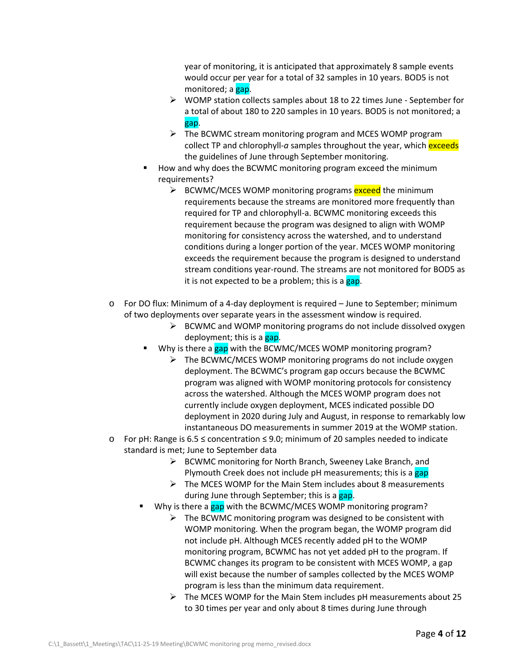year of monitoring, it is anticipated that approximately 8 sample events would occur per year for a total of 32 samples in 10 years. BOD5 is not monitored; a gap.

- $\triangleright$  WOMP station collects samples about 18 to 22 times June September for a total of about 180 to 220 samples in 10 years. BOD5 is not monitored; a gap.
- $\triangleright$  The BCWMC stream monitoring program and MCES WOMP program collect TP and chlorophyll-*a* samples throughout the year, which exceeds the guidelines of June through September monitoring.
- How and why does the BCWMC monitoring program exceed the minimum requirements?
	- $\triangleright$  BCWMC/MCES WOMP monitoring programs exceed the minimum requirements because the streams are monitored more frequently than required for TP and chlorophyll-a. BCWMC monitoring exceeds this requirement because the program was designed to align with WOMP monitoring for consistency across the watershed, and to understand conditions during a longer portion of the year. MCES WOMP monitoring exceeds the requirement because the program is designed to understand stream conditions year-round. The streams are not monitored for BOD5 as it is not expected to be a problem; this is a gap.
- o For DO flux: Minimum of a 4-day deployment is required June to September; minimum of two deployments over separate years in the assessment window is required.
	- $\triangleright$  BCWMC and WOMP monitoring programs do not include dissolved oxygen deployment; this is a gap.
	- Why is there a gap with the BCWMC/MCES WOMP monitoring program?
		- $\triangleright$  The BCWMC/MCES WOMP monitoring programs do not include oxygen deployment. The BCWMC's program gap occurs because the BCWMC program was aligned with WOMP monitoring protocols for consistency across the watershed. Although the MCES WOMP program does not currently include oxygen deployment, MCES indicated possible DO deployment in 2020 during July and August, in response to remarkably low instantaneous DO measurements in summer 2019 at the WOMP station.
- o For pH: Range is 6.5 ≤ concentration ≤ 9.0; minimum of 20 samples needed to indicate standard is met; June to September data
	- $\triangleright$  BCWMC monitoring for North Branch, Sweeney Lake Branch, and Plymouth Creek does not include pH measurements; this is a gap
	- $\triangleright$  The MCES WOMP for the Main Stem includes about 8 measurements during June through September; this is a gap.
	- Why is there a gap with the BCWMC/MCES WOMP monitoring program?
		- $\triangleright$  The BCWMC monitoring program was designed to be consistent with WOMP monitoring. When the program began, the WOMP program did not include pH. Although MCES recently added pH to the WOMP monitoring program, BCWMC has not yet added pH to the program. If BCWMC changes its program to be consistent with MCES WOMP, a gap will exist because the number of samples collected by the MCES WOMP program is less than the minimum data requirement.
		- $\triangleright$  The MCES WOMP for the Main Stem includes pH measurements about 25 to 30 times per year and only about 8 times during June through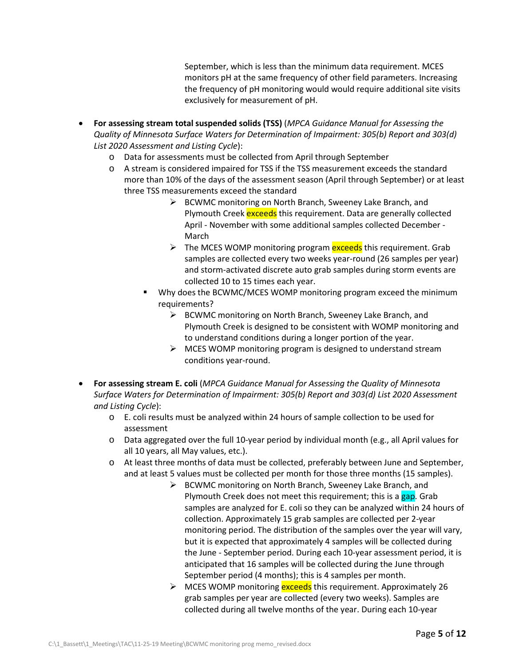September, which is less than the minimum data requirement. MCES monitors pH at the same frequency of other field parameters. Increasing the frequency of pH monitoring would would require additional site visits exclusively for measurement of pH.

- **For assessing stream total suspended solids (TSS)** (*MPCA Guidance Manual for Assessing the Quality of Minnesota Surface Waters for Determination of Impairment: 305(b) Report and 303(d) List 2020 Assessment and Listing Cycle*):
	- o Data for assessments must be collected from April through September
	- o A stream is considered impaired for TSS if the TSS measurement exceeds the standard more than 10% of the days of the assessment season (April through September) or at least three TSS measurements exceed the standard
		- $\triangleright$  BCWMC monitoring on North Branch, Sweeney Lake Branch, and Plymouth Creek exceeds this requirement. Data are generally collected April - November with some additional samples collected December - March
		- $\triangleright$  The MCES WOMP monitoring program exceeds this requirement. Grab samples are collected every two weeks year-round (26 samples per year) and storm-activated discrete auto grab samples during storm events are collected 10 to 15 times each year.
		- Why does the BCWMC/MCES WOMP monitoring program exceed the minimum requirements?
			- $\triangleright$  BCWMC monitoring on North Branch, Sweeney Lake Branch, and Plymouth Creek is designed to be consistent with WOMP monitoring and to understand conditions during a longer portion of the year.
			- $\triangleright$  MCES WOMP monitoring program is designed to understand stream conditions year-round.
- **For assessing stream E. coli** (*MPCA Guidance Manual for Assessing the Quality of Minnesota Surface Waters for Determination of Impairment: 305(b) Report and 303(d) List 2020 Assessment and Listing Cycle*):
	- o E. coli results must be analyzed within 24 hours of sample collection to be used for assessment
	- o Data aggregated over the full 10-year period by individual month (e.g., all April values for all 10 years, all May values, etc.).
	- o At least three months of data must be collected, preferably between June and September, and at least 5 values must be collected per month for those three months (15 samples).
		- $\triangleright$  BCWMC monitoring on North Branch, Sweeney Lake Branch, and Plymouth Creek does not meet this requirement; this is a gap. Grab samples are analyzed for E. coli so they can be analyzed within 24 hours of collection. Approximately 15 grab samples are collected per 2-year monitoring period. The distribution of the samples over the year will vary, but it is expected that approximately 4 samples will be collected during the June - September period. During each 10-year assessment period, it is anticipated that 16 samples will be collected during the June through September period (4 months); this is 4 samples per month.
		- > MCES WOMP monitoring exceeds this requirement. Approximately 26 grab samples per year are collected (every two weeks). Samples are collected during all twelve months of the year. During each 10-year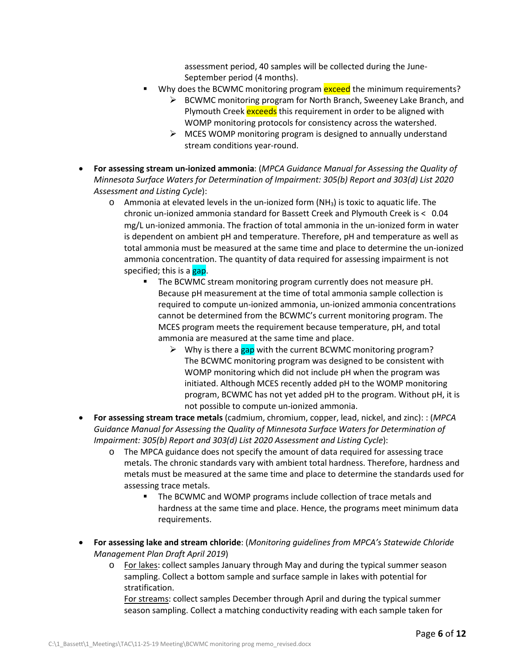assessment period, 40 samples will be collected during the June-September period (4 months).

- Why does the BCWMC monitoring program exceed the minimum requirements?
	- ▶ BCWMC monitoring program for North Branch, Sweeney Lake Branch, and Plymouth Creek exceeds this requirement in order to be aligned with WOMP monitoring protocols for consistency across the watershed.
	- $\triangleright$  MCES WOMP monitoring program is designed to annually understand stream conditions year-round.
- **For assessing stream un-ionized ammonia**: (*MPCA Guidance Manual for Assessing the Quality of Minnesota Surface Waters for Determination of Impairment: 305(b) Report and 303(d) List 2020 Assessment and Listing Cycle*):
	- $\circ$  Ammonia at elevated levels in the un-ionized form (NH<sub>3</sub>) is toxic to aquatic life. The chronic un-ionized ammonia standard for Bassett Creek and Plymouth Creek is < 0.04 mg/L un-ionized ammonia. The fraction of total ammonia in the un-ionized form in water is dependent on ambient pH and temperature. Therefore, pH and temperature as well as total ammonia must be measured at the same time and place to determine the un-ionized ammonia concentration. The quantity of data required for assessing impairment is not specified; this is a gap.
		- The BCWMC stream monitoring program currently does not measure pH. Because pH measurement at the time of total ammonia sample collection is required to compute un-ionized ammonia, un-ionized ammonia concentrations cannot be determined from the BCWMC's current monitoring program. The MCES program meets the requirement because temperature, pH, and total ammonia are measured at the same time and place.
			- $\triangleright$  Why is there a gap with the current BCWMC monitoring program? The BCWMC monitoring program was designed to be consistent with WOMP monitoring which did not include pH when the program was initiated. Although MCES recently added pH to the WOMP monitoring program, BCWMC has not yet added pH to the program. Without pH, it is not possible to compute un-ionized ammonia.
- **For assessing stream trace metals** (cadmium, chromium, copper, lead, nickel, and zinc): : (*MPCA Guidance Manual for Assessing the Quality of Minnesota Surface Waters for Determination of Impairment: 305(b) Report and 303(d) List 2020 Assessment and Listing Cycle*):
	- o The MPCA guidance does not specify the amount of data required for assessing trace metals. The chronic standards vary with ambient total hardness. Therefore, hardness and metals must be measured at the same time and place to determine the standards used for assessing trace metals.
		- The BCWMC and WOMP programs include collection of trace metals and hardness at the same time and place. Hence, the programs meet minimum data requirements.
- **For assessing lake and stream chloride**: (*Monitoring guidelines from MPCA's Statewide Chloride Management Plan Draft April 2019*)
	- o For lakes: collect samples January through May and during the typical summer season sampling. Collect a bottom sample and surface sample in lakes with potential for stratification.

For streams: collect samples December through April and during the typical summer season sampling. Collect a matching conductivity reading with each sample taken for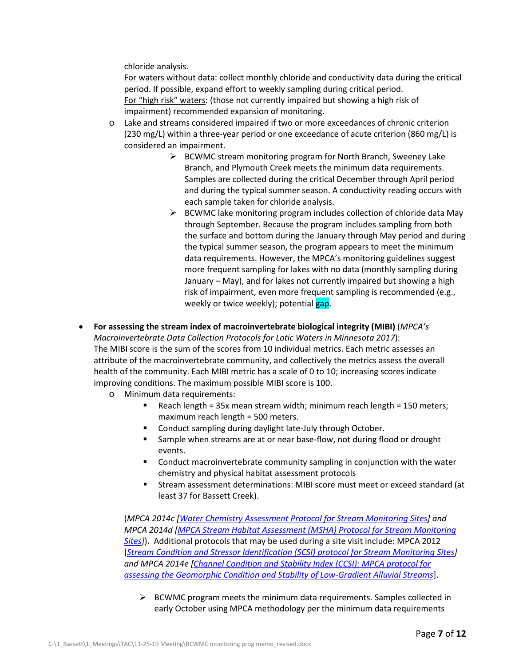chloride analysis.

For waters without data: collect monthly chloride and conductivity data during the critical period. If possible, expand effort to weekly sampling during critical period. For "high risk" waters: (those not currently impaired but showing a high risk of impairment) recommended expansion of monitoring.

- o Lake and streams considered impaired if two or more exceedances of chronic criterion (230 mg/L) within a three-year period or one exceedance of acute criterion (860 mg/L) is considered an impairment.
	- $\triangleright$  BCWMC stream monitoring program for North Branch, Sweeney Lake Branch, and Plymouth Creek meets the minimum data requirements. Samples are collected during the critical December through April period and during the typical summer season. A conductivity reading occurs with each sample taken for chloride analysis.
	- $\triangleright$  BCWMC lake monitoring program includes collection of chloride data May through September. Because the program includes sampling from both the surface and bottom during the January through May period and during the typical summer season, the program appears to meet the minimum data requirements. However, the MPCA's monitoring guidelines suggest more frequent sampling for lakes with no data (monthly sampling during January – May), and for lakes not currently impaired but showing a high risk of impairment, even more frequent sampling is recommended (e.g., weekly or twice weekly); potential gap.
- **For assessing the stream index of macroinvertebrate biological integrity (MIBI)** (*MPCA's Macroinvertebrate Data Collection Protocols for Lotic Waters in Minnesota 2017*): The MIBI score is the sum of the scores from 10 individual metrics. Each metric assesses an attribute of the macroinvertebrate community, and collectively the metrics assess the overall health of the community. Each MIBI metric has a scale of 0 to 10; increasing scores indicate improving conditions. The maximum possible MIBI score is 100.
	- o Minimum data requirements:
		- Reach length = 35x mean stream width; minimum reach length = 150 meters; maximum reach length = 500 meters.
		- Conduct sampling during daylight late-July through October.
		- Sample when streams are at or near base-flow, not during flood or drought events.
		- **EXECONDUCT** Conduct macroinvertebrate community sampling in conjunction with the water chemistry and physical habitat assessment protocols
		- Stream assessment determinations: MIBI score must meet or exceed standard (at least 37 for Bassett Creek).

(*MPCA 2014c [\[Water Chemistry Assessment Protocol for Stream Monitoring Sites\]](https://www.pca.state.mn.us/sites/default/files/wq-bsm3-06.pdf) and MPCA 2014d [\[MPCA Stream Habitat Assessment \(MSHA\) Protocol for Stream Monitoring](https://www.pca.state.mn.us/sites/default/files/wq-bsm3-02.pdf)  [Sites\]](https://www.pca.state.mn.us/sites/default/files/wq-bsm3-02.pdf)*). Additional protocols that may be used during a site visit include: MPCA 2012 [*[Stream Condition and Stressor Identification \(SCSI\) protocol for Stream Monitoring Sites\]](https://www.pca.state.mn.us/sites/default/files/wq-bsm3-05.pdf) and MPCA 2014e [\[Channel Condition and Stability Index \(CCSI\): MPCA protocol for](https://www.pca.state.mn.us/sites/default/files/wq-bsm3-09.pdf)  [assessing the Geomorphic Condition and Stability of Low-Gradient Alluvial Streams](https://www.pca.state.mn.us/sites/default/files/wq-bsm3-09.pdf)*].

 $\triangleright$  BCWMC program meets the minimum data requirements. Samples collected in early October using MPCA methodology per the minimum data requirements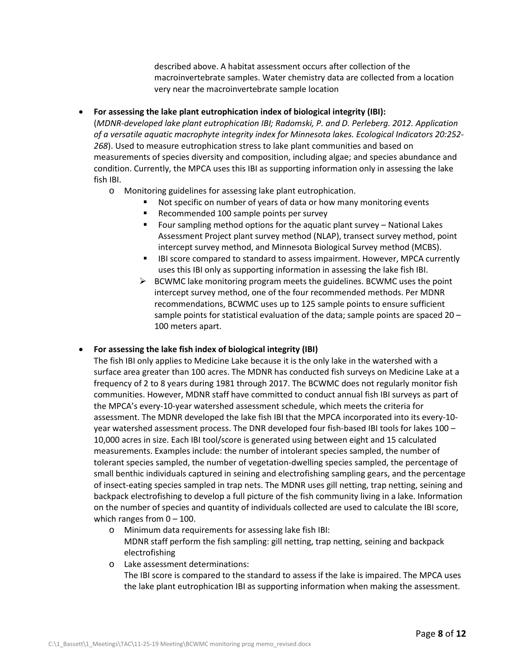described above. A habitat assessment occurs after collection of the macroinvertebrate samples. Water chemistry data are collected from a location very near the macroinvertebrate sample location

• **For assessing the lake plant eutrophication index of biological integrity (IBI):**

(*MDNR-developed lake plant eutrophication IBI; Radomski, P. and D. Perleberg. 2012. Application of a versatile aquatic macrophyte integrity index for Minnesota lakes. Ecological Indicators 20:252- 268*). Used to measure eutrophication stress to lake plant communities and based on measurements of species diversity and composition, including algae; and species abundance and condition. Currently, the MPCA uses this IBI as supporting information only in assessing the lake fish IBI.

- o Monitoring guidelines for assessing lake plant eutrophication.
	- Not specific on number of years of data or how many monitoring events
	- Recommended 100 sample points per survey
	- Four sampling method options for the aquatic plant survey National Lakes Assessment Project plant survey method (NLAP), transect survey method, point intercept survey method, and Minnesota Biological Survey method (MCBS).
	- **IBI score compared to standard to assess impairment. However, MPCA currently** uses this IBI only as supporting information in assessing the lake fish IBI.
	- $\triangleright$  BCWMC lake monitoring program meets the guidelines. BCWMC uses the point intercept survey method, one of the four recommended methods. Per MDNR recommendations, BCWMC uses up to 125 sample points to ensure sufficient sample points for statistical evaluation of the data; sample points are spaced  $20 -$ 100 meters apart.

# • **For assessing the lake fish index of biological integrity (IBI)**

The fish IBI only applies to Medicine Lake because it is the only lake in the watershed with a surface area greater than 100 acres. The MDNR has conducted fish surveys on Medicine Lake at a frequency of 2 to 8 years during 1981 through 2017. The BCWMC does not regularly monitor fish communities. However, MDNR staff have committed to conduct annual fish IBI surveys as part of the MPCA's every-10-year watershed assessment schedule, which meets the criteria for assessment. The MDNR developed the lake fish IBI that the MPCA incorporated into its every-10 year watershed assessment process. The DNR developed four fish-based IBI tools for lakes 100 – 10,000 acres in size. Each IBI tool/score is generated using between eight and 15 calculated measurements. Examples include: the number of intolerant species sampled, the number of tolerant species sampled, the number of vegetation-dwelling species sampled, the percentage of small benthic individuals captured in seining and electrofishing sampling gears, and the percentage of insect-eating species sampled in trap nets. The MDNR uses gill netting, trap netting, seining and backpack electrofishing to develop a full picture of the fish community living in a lake. Information on the number of species and quantity of individuals collected are used to calculate the IBI score, which ranges from  $0 - 100$ .

- o Minimum data requirements for assessing lake fish IBI: MDNR staff perform the fish sampling: gill netting, trap netting, seining and backpack electrofishing
- o Lake assessment determinations: The IBI score is compared to the standard to assess if the lake is impaired. The MPCA uses the lake plant eutrophication IBI as supporting information when making the assessment.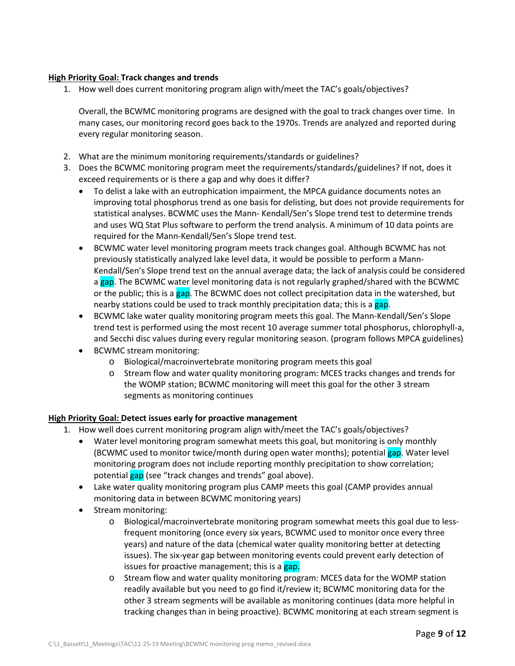# **High Priority Goal: Track changes and trends**

1. How well does current monitoring program align with/meet the TAC's goals/objectives?

Overall, the BCWMC monitoring programs are designed with the goal to track changes over time. In many cases, our monitoring record goes back to the 1970s. Trends are analyzed and reported during every regular monitoring season.

- 2. What are the minimum monitoring requirements/standards or guidelines?
- 3. Does the BCWMC monitoring program meet the requirements/standards/guidelines? If not, does it exceed requirements or is there a gap and why does it differ?
	- To delist a lake with an eutrophication impairment, the MPCA guidance documents notes an improving total phosphorus trend as one basis for delisting, but does not provide requirements for statistical analyses. BCWMC uses the Mann- Kendall/Sen's Slope trend test to determine trends and uses WQ Stat Plus software to perform the trend analysis. A minimum of 10 data points are required for the Mann-Kendall/Sen's Slope trend test.
	- BCWMC water level monitoring program meets track changes goal. Although BCWMC has not previously statistically analyzed lake level data, it would be possible to perform a Mann-Kendall/Sen's Slope trend test on the annual average data; the lack of analysis could be considered a gap. The BCWMC water level monitoring data is not regularly graphed/shared with the BCWMC or the public; this is a gap. The BCWMC does not collect precipitation data in the watershed, but nearby stations could be used to track monthly precipitation data; this is a gap.
	- BCWMC lake water quality monitoring program meets this goal. The Mann-Kendall/Sen's Slope trend test is performed using the most recent 10 average summer total phosphorus, chlorophyll-a, and Secchi disc values during every regular monitoring season. (program follows MPCA guidelines)
	- BCWMC stream monitoring:
		- o Biological/macroinvertebrate monitoring program meets this goal
		- o Stream flow and water quality monitoring program: MCES tracks changes and trends for the WOMP station; BCWMC monitoring will meet this goal for the other 3 stream segments as monitoring continues

# **High Priority Goal: Detect issues early for proactive management**

- 1. How well does current monitoring program align with/meet the TAC's goals/objectives?
	- Water level monitoring program somewhat meets this goal, but monitoring is only monthly (BCWMC used to monitor twice/month during open water months); potential gap. Water level monitoring program does not include reporting monthly precipitation to show correlation; potential gap (see "track changes and trends" goal above).
	- Lake water quality monitoring program plus CAMP meets this goal (CAMP provides annual monitoring data in between BCWMC monitoring years)
	- Stream monitoring:
		- o Biological/macroinvertebrate monitoring program somewhat meets this goal due to lessfrequent monitoring (once every six years, BCWMC used to monitor once every three years) and nature of the data (chemical water quality monitoring better at detecting issues). The six-year gap between monitoring events could prevent early detection of issues for proactive management; this is a gap.
		- o Stream flow and water quality monitoring program: MCES data for the WOMP station readily available but you need to go find it/review it; BCWMC monitoring data for the other 3 stream segments will be available as monitoring continues (data more helpful in tracking changes than in being proactive). BCWMC monitoring at each stream segment is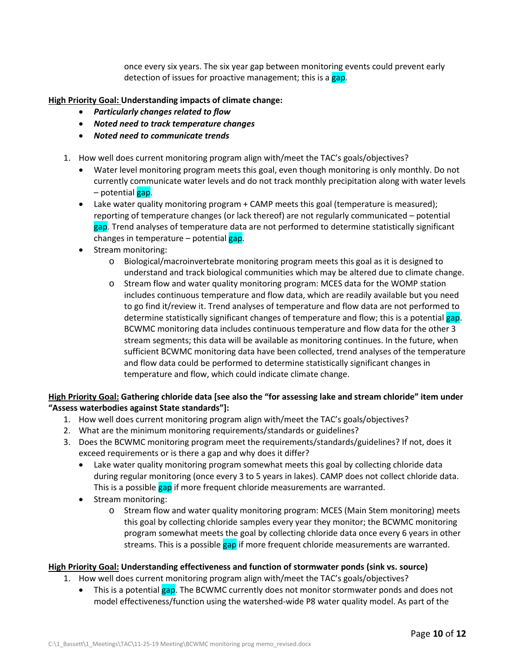once every six years. The six year gap between monitoring events could prevent early detection of issues for proactive management; this is a gap.

# **High Priority Goal: Understanding impacts of climate change:**

- *Particularly changes related to flow*
- *Noted need to track temperature changes*
- *Noted need to communicate trends*
- 1. How well does current monitoring program align with/meet the TAC's goals/objectives?
	- Water level monitoring program meets this goal, even though monitoring is only monthly. Do not currently communicate water levels and do not track monthly precipitation along with water levels – potential gap.
	- Lake water quality monitoring program + CAMP meets this goal (temperature is measured); reporting of temperature changes (or lack thereof) are not regularly communicated – potential gap. Trend analyses of temperature data are not performed to determine statistically significant changes in temperature  $-$  potential gap.
	- Stream monitoring:
		- o Biological/macroinvertebrate monitoring program meets this goal as it is designed to understand and track biological communities which may be altered due to climate change.
		- o Stream flow and water quality monitoring program: MCES data for the WOMP station includes continuous temperature and flow data, which are readily available but you need to go find it/review it. Trend analyses of temperature and flow data are not performed to determine statistically significant changes of temperature and flow; this is a potential gap. BCWMC monitoring data includes continuous temperature and flow data for the other 3 stream segments; this data will be available as monitoring continues. In the future, when sufficient BCWMC monitoring data have been collected, trend analyses of the temperature and flow data could be performed to determine statistically significant changes in temperature and flow, which could indicate climate change.

# **High Priority Goal: Gathering chloride data [see also the "for assessing lake and stream chloride" item under "Assess waterbodies against State standards"]:**

- 1. How well does current monitoring program align with/meet the TAC's goals/objectives?
- 2. What are the minimum monitoring requirements/standards or guidelines?
- 3. Does the BCWMC monitoring program meet the requirements/standards/guidelines? If not, does it exceed requirements or is there a gap and why does it differ?
	- Lake water quality monitoring program somewhat meets this goal by collecting chloride data during regular monitoring (once every 3 to 5 years in lakes). CAMP does not collect chloride data. This is a possible gap if more frequent chloride measurements are warranted.
	- Stream monitoring:
		- o Stream flow and water quality monitoring program: MCES (Main Stem monitoring) meets this goal by collecting chloride samples every year they monitor; the BCWMC monitoring program somewhat meets the goal by collecting chloride data once every 6 years in other streams. This is a possible gap if more frequent chloride measurements are warranted.

# **High Priority Goal: Understanding effectiveness and function of stormwater ponds (sink vs. source)**

- 1. How well does current monitoring program align with/meet the TAC's goals/objectives?
	- This is a potential gap. The BCWMC currently does not monitor stormwater ponds and does not model effectiveness/function using the watershed-wide P8 water quality model. As part of the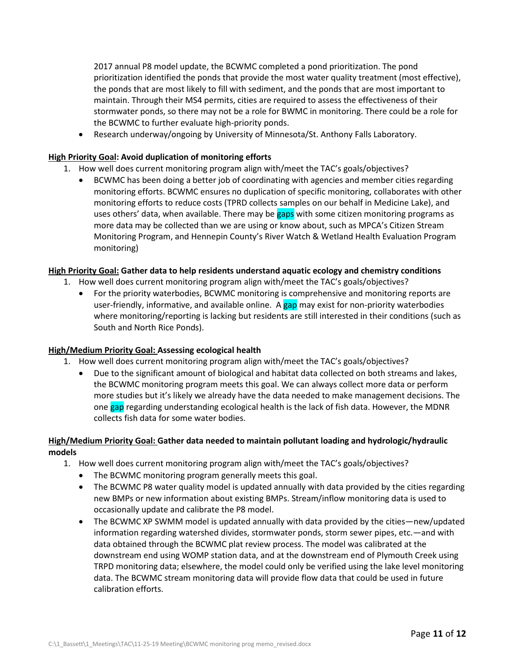2017 annual P8 model update, the BCWMC completed a pond prioritization. The pond prioritization identified the ponds that provide the most water quality treatment (most effective), the ponds that are most likely to fill with sediment, and the ponds that are most important to maintain. Through their MS4 permits, cities are required to assess the effectiveness of their stormwater ponds, so there may not be a role for BWMC in monitoring. There could be a role for the BCWMC to further evaluate high-priority ponds.

• Research underway/ongoing by University of Minnesota/St. Anthony Falls Laboratory.

# **High Priority Goal: Avoid duplication of monitoring efforts**

- 1. How well does current monitoring program align with/meet the TAC's goals/objectives?
	- BCWMC has been doing a better job of coordinating with agencies and member cities regarding monitoring efforts. BCWMC ensures no duplication of specific monitoring, collaborates with other monitoring efforts to reduce costs (TPRD collects samples on our behalf in Medicine Lake), and uses others' data, when available. There may be gaps with some citizen monitoring programs as more data may be collected than we are using or know about, such as MPCA's Citizen Stream Monitoring Program, and Hennepin County's River Watch & Wetland Health Evaluation Program monitoring)

# **High Priority Goal: Gather data to help residents understand aquatic ecology and chemistry conditions**

- 1. How well does current monitoring program align with/meet the TAC's goals/objectives?
	- For the priority waterbodies, BCWMC monitoring is comprehensive and monitoring reports are user-friendly, informative, and available online. A gap may exist for non-priority waterbodies where monitoring/reporting is lacking but residents are still interested in their conditions (such as South and North Rice Ponds).

# **High/Medium Priority Goal: Assessing ecological health**

- 1. How well does current monitoring program align with/meet the TAC's goals/objectives?
	- Due to the significant amount of biological and habitat data collected on both streams and lakes, the BCWMC monitoring program meets this goal. We can always collect more data or perform more studies but it's likely we already have the data needed to make management decisions. The one gap regarding understanding ecological health is the lack of fish data. However, the MDNR collects fish data for some water bodies.

# **High/Medium Priority Goal: Gather data needed to maintain pollutant loading and hydrologic/hydraulic models**

- 1. How well does current monitoring program align with/meet the TAC's goals/objectives?
	- The BCWMC monitoring program generally meets this goal.
	- The BCWMC P8 water quality model is updated annually with data provided by the cities regarding new BMPs or new information about existing BMPs. Stream/inflow monitoring data is used to occasionally update and calibrate the P8 model.
	- The BCWMC XP SWMM model is updated annually with data provided by the cities—new/updated information regarding watershed divides, stormwater ponds, storm sewer pipes, etc.—and with data obtained through the BCWMC plat review process. The model was calibrated at the downstream end using WOMP station data, and at the downstream end of Plymouth Creek using TRPD monitoring data; elsewhere, the model could only be verified using the lake level monitoring data. The BCWMC stream monitoring data will provide flow data that could be used in future calibration efforts.